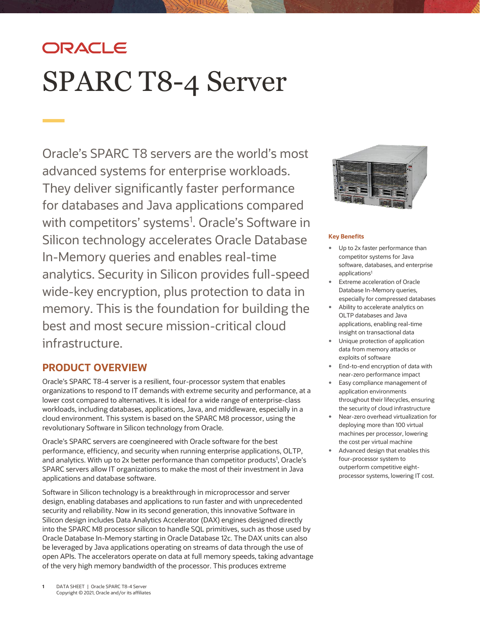# ORACLE SPARC T8-4 Server

Oracle's SPARC T8 servers are the world's most advanced systems for enterprise workloads. They deliver significantly faster performance for databases and Java applications compared with competitors' systems<sup>1</sup>. Oracle's Software in Silicon technology accelerates Oracle Database In-Memory queries and enables real-time analytics. Security in Silicon provides full-speed wide-key encryption, plus protection to data in memory. This is the foundation for building the best and most secure mission-critical cloud infrastructure.

# **PRODUCT OVERVIEW**

Oracle's SPARC T8-4 server is a resilient, four-processor system that enables organizations to respond to IT demands with extreme security and performance, at a lower cost compared to alternatives. It is ideal for a wide range of enterprise-class workloads, including databases, applications, Java, and middleware, especially in a cloud environment. This system is based on the SPARC M8 processor, using the revolutionary Software in Silicon technology from Oracle.

Oracle's SPARC servers are coengineered with Oracle software for the best performance, efficiency, and security when running enterprise applications, OLTP, and analytics. With up to 2x better performance than competitor products<sup>1</sup>, Oracle's SPARC servers allow IT organizations to make the most of their investment in Java applications and database software.

Software in Silicon technology is a breakthrough in microprocessor and server design, enabling databases and applications to run faster and with unprecedented security and reliability. Now in its second generation, this innovative Software in Silicon design includes Data Analytics Accelerator (DAX) engines designed directly into the SPARC M8 processor silicon to handle SQL primitives, such as those used by Oracle Database In-Memory starting in Oracle Database 12c. The DAX units can also be leveraged by Java applications operating on streams of data through the use of open APIs. The accelerators operate on data at full memory speeds, taking advantage of the very high memory bandwidth of the processor. This produces extreme



# **Key Benefits**

- Up to 2x faster performance than competitor systems for Java software, databases, and enterprise applications<sup>1</sup>
- Extreme acceleration of Oracle Database In-Memory queries, especially for compressed databases
- Ability to accelerate analytics on OLTP databases and Java applications, enabling real-time insight on transactional data
- Unique protection of application data from memory attacks or exploits of software
- End-to-end encryption of data with near-zero performance impact
- Easy compliance management of application environments throughout their lifecycles, ensuring the security of cloud infrastructure
- Near-zero overhead virtualization for deploying more than 100 virtual machines per processor, lowering the cost per virtual machine
- Advanced design that enables this four-processor system to outperform competitive eightprocessor systems, lowering IT cost.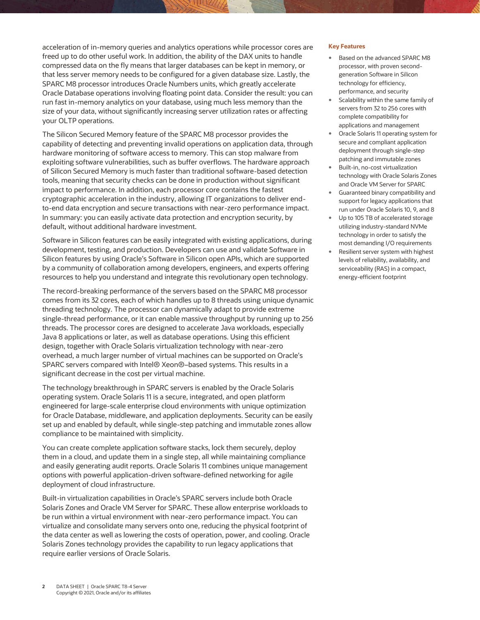acceleration of in-memory queries and analytics operations while processor cores are freed up to do other useful work. In addition, the ability of the DAX units to handle compressed data on the fly means that larger databases can be kept in memory, or that less server memory needs to be configured for a given database size. Lastly, the SPARC M8 processor introduces Oracle Numbers units, which greatly accelerate Oracle Database operations involving floating point data. Consider the result: you can run fast in-memory analytics on your database, using much less memory than the size of your data, without significantly increasing server utilization rates or affecting your OLTP operations.

The Silicon Secured Memory feature of the SPARC M8 processor provides the capability of detecting and preventing invalid operations on application data, through hardware monitoring of software access to memory. This can stop malware from exploiting software vulnerabilities, such as buffer overflows. The hardware approach of Silicon Secured Memory is much faster than traditional software-based detection tools, meaning that security checks can be done in production without significant impact to performance. In addition, each processor core contains the fastest cryptographic acceleration in the industry, allowing IT organizations to deliver endto-end data encryption and secure transactions with near-zero performance impact. In summary: you can easily activate data protection and encryption security, by default, without additional hardware investment.

Software in Silicon features can be easily integrated with existing applications, during development, testing, and production. Developers can use and validate Software in Silicon features by using Oracle's Software in Silicon open APIs, which are supported by a community of collaboration among developers, engineers, and experts offering resources to help you understand and integrate this revolutionary open technology.

The record-breaking performance of the servers based on the SPARC M8 processor comes from its 32 cores, each of which handles up to 8 threads using unique dynamic threading technology. The processor can dynamically adapt to provide extreme single-thread performance, or it can enable massive throughput by running up to 256 threads. The processor cores are designed to accelerate Java workloads, especially Java 8 applications or later, as well as database operations. Using this efficient design, together with Oracle Solaris virtualization technology with near-zero overhead, a much larger number of virtual machines can be supported on Oracle's SPARC servers compared with Intel® Xeon®–based systems. This results in a significant decrease in the cost per virtual machine.

The technology breakthrough in SPARC servers is enabled by the Oracle Solaris operating system. Oracle Solaris 11 is a secure, integrated, and open platform engineered for large-scale enterprise cloud environments with unique optimization for Oracle Database, middleware, and application deployments. Security can be easily set up and enabled by default, while single-step patching and immutable zones allow compliance to be maintained with simplicity.

You can create complete application software stacks, lock them securely, deploy them in a cloud, and update them in a single step, all while maintaining compliance and easily generating audit reports. Oracle Solaris 11 combines unique management options with powerful application-driven software-defined networking for agile deployment of cloud infrastructure.

Built-in virtualization capabilities in Oracle's SPARC servers include both Oracle Solaris Zones and Oracle VM Server for SPARC. These allow enterprise workloads to be run within a virtual environment with near-zero performance impact. You can virtualize and consolidate many servers onto one, reducing the physical footprint of the data center as well as lowering the costs of operation, power, and cooling. Oracle Solaris Zones technology provides the capability to run legacy applications that require earlier versions of Oracle Solaris.

#### **Key Features**

- Based on the advanced SPARC M8 processor, with proven secondgeneration Software in Silicon technology for efficiency, performance, and security
- Scalability within the same family of servers from 32 to 256 cores with complete compatibility for applications and management
- Oracle Solaris 11 operating system for secure and compliant application deployment through single-step patching and immutable zones
- Built-in, no-cost virtualization technology with Oracle Solaris Zones and Oracle VM Server for SPARC
- Guaranteed binary compatibility and support for legacy applications that run under Oracle Solaris 10, 9, and 8
- Up to 105 TB of accelerated storage utilizing industry-standard NVMe technology in order to satisfy the most demanding I/O requirements
- Resilient server system with highest levels of reliability, availability, and serviceability (RAS) in a compact, energy-efficient footprint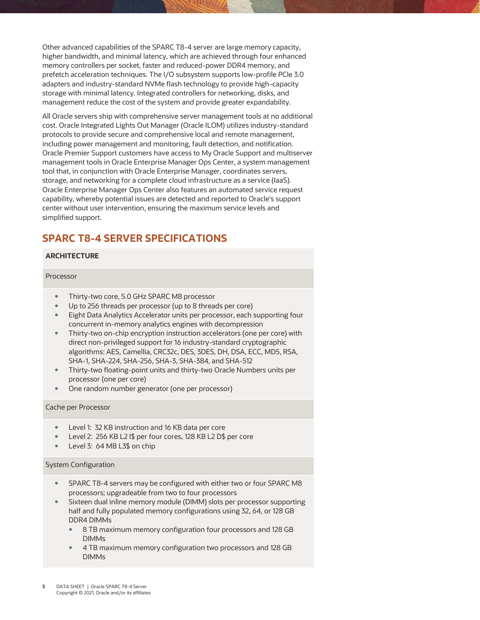Other advanced capabilities of the SPARC T8-4 server are large memory capacity, higher bandwidth, and minimal latency, which are achieved through four enhanced memory controllers per socket, faster and reduced-power DDR4 memory, and prefetch acceleration techniques. The I/O subsystem supports low-profile PCIe 3.0 adapters and industry-standard NVMe flash technology to provide high-capacity storage with minimal latency. Integrated controllers for networking, disks, and management reduce the cost of the system and provide greater expandability.

All Oracle servers ship with comprehensive server management tools at no additional cost. Oracle Integrated Lights Out Manager (Oracle ILOM) utilizes industry-standard protocols to provide secure and comprehensive local and remote management, including power management and monitoring, fault detection, and notification. Oracle Premier Support customers have access to My Oracle Support and multiserver management tools in Oracle Enterprise Manager Ops Center, a system management tool that, in conjunction with Oracle Enterprise Manager, coordinates servers, storage, and networking for a complete cloud infrastructure as a service (IaaS). Oracle Enterprise Manager Ops Center also features an automated service request capability, whereby potential issues are detected and reported to Oracle's support center without user intervention, ensuring the maximum service levels and simplified support.

# **SPARC T8-4 SERVER SPECIFICATIONS**

# **ARCHITECTURE**

#### Processor

- Thirty-two core, 5.0 GHz SPARC M8 processor
- Up to 256 threads per processor (up to 8 threads per core)
- Eight Data Analytics Accelerator units per processor, each supporting four concurrent in-memory analytics engines with decompression
- Thirty-two on-chip encryption instruction accelerators (one per core) with direct non-privileged support for 16 industry-standard cryptographic algorithms: AES, Camellia, CRC32c, DES, 3DES, DH, DSA, ECC, MD5, RSA, SHA-1, SHA-224, SHA-256, SHA-3, SHA-384, and SHA-512
- Thirty-two floating-point units and thirty-two Oracle Numbers units per processor (one per core)
- One random number generator (one per processor)

#### Cache per Processor

- Level 1: 32 KB instruction and 16 KB data per core
- Level 2: 256 KB L2 I\$ per four cores, 128 KB L2 D\$ per core
- Level 3: 64 MB L3\$ on chip

#### System Configuration

- SPARC T8-4 servers may be configured with either two or four SPARC M8 processors; upgradeable from two to four processors
- Sixteen dual inline memory module (DIMM) slots per processor supporting half and fully populated memory configurations using 32, 64, or 128 GB DDR4 DIMMs
	- 8 TB maximum memory configuration four processors and 128 GB DIMMs
	- 4 TB maximum memory configuration two processors and 128 GB DIMMs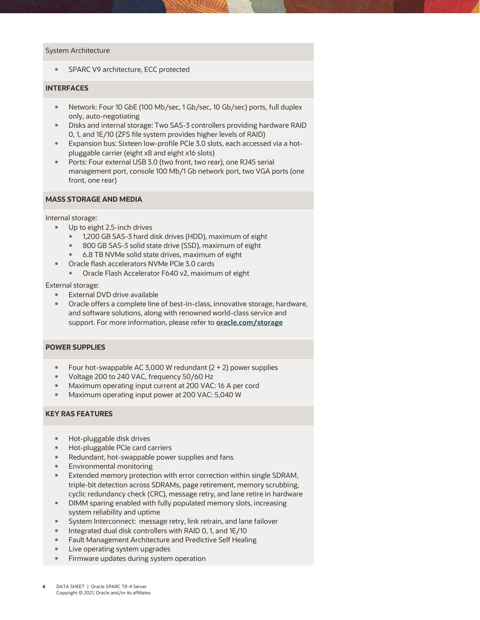#### System Architecture

• SPARC V9 architecture, ECC protected

# **INTERFACES**

- Network: Four 10 GbE (100 Mb/sec, 1 Gb/sec, 10 Gb/sec) ports, full duplex only, auto-negotiating
- Disks and internal storage: Two SAS-3 controllers providing hardware RAID 0, 1, and 1E/10 (ZFS file system provides higher levels of RAID)
- Expansion bus: Sixteen low-profile PCIe 3.0 slots, each accessed via a hotpluggable carrier (eight x8 and eight x16 slots)
- Ports: Four external USB 3.0 (two front, two rear), one RJ45 serial management port, console 100 Mb/1 Gb network port, two VGA ports (one front, one rear)

## **MASS STORAGE AND MEDIA**

Internal storage:

- Up to eight 2.5-inch drives
	- 1,200 GB SAS-3 hard disk drives (HDD), maximum of eight
	- 800 GB SAS-3 solid state drive (SSD), maximum of eight
	- 6.8 TB NVMe solid state drives, maximum of eight
- Oracle flash accelerators NVMe PCIe 3.0 cards
	- Oracle Flash Accelerator F640 v2, maximum of eight

External storage:

- **External DVD drive available**
- Oracle offers a complete line of best-in-class, innovative storage, hardware, and software solutions, along with renowned world-class service and support. For more information, please refer to **[oracle.com/storage](http://www.oracle.com/storage)**

#### **POWER SUPPLIES**

- Four hot-swappable AC 3,000 W redundant  $(2 + 2)$  power supplies
- Voltage 200 to 240 VAC, frequency 50/60 Hz
- Maximum operating input current at 200 VAC: 16 A per cord
- Maximum operating input power at 200 VAC: 5,040 W

# **KEY RAS FEATURES**

- Hot-pluggable disk drives
- Hot-pluggable PCIe card carriers
- Redundant, hot-swappable power supplies and fans
- Environmental monitoring
- Extended memory protection with error correction within single SDRAM, triple-bit detection across SDRAMs, page retirement, memory scrubbing, cyclic redundancy check (CRC), message retry, and lane retire in hardware
- DIMM sparing enabled with fully populated memory slots, increasing system reliability and uptime
- System Interconnect: message retry, link retrain, and lane failover
- Integrated dual disk controllers with RAID 0, 1, and 1E/10
- Fault Management Architecture and Predictive Self Healing
- Live operating system upgrades
- Firmware updates during system operation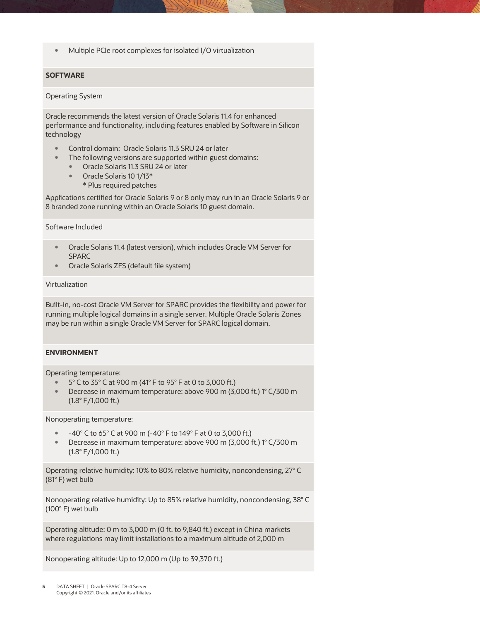Multiple PCIe root complexes for isolated I/O virtualization

# **SOFTWARE**

#### Operating System

Oracle recommends the latest version of Oracle Solaris 11.4 for enhanced performance and functionality, including features enabled by Software in Silicon technology

- Control domain: Oracle Solaris 11.3 SRU 24 or later
- The following versions are supported within guest domains:
	- Oracle Solaris 11.3 SRU 24 or later
	- Oracle Solaris 10 1/13\*
		- \* Plus required patches

Applications certified for Oracle Solaris 9 or 8 only may run in an Oracle Solaris 9 or 8 branded zone running within an Oracle Solaris 10 guest domain.

#### Software Included

- Oracle Solaris 11.4 (latest version), which includes Oracle VM Server for SPARC
- Oracle Solaris ZFS (default file system)

# Virtualization

Built-in, no-cost Oracle VM Server for SPARC provides the flexibility and power for running multiple logical domains in a single server. Multiple Oracle Solaris Zones may be run within a single Oracle VM Server for SPARC logical domain.

## **ENVIRONMENT**

Operating temperature:

- 5° C to 35° C at 900 m (41° F to 95° F at 0 to 3,000 ft.)
- Decrease in maximum temperature: above 900 m (3,000 ft.) 1° C/300 m (1.8° F/1,000 ft.)

Nonoperating temperature:

- $-40^{\circ}$  C to 65° C at 900 m (-40° F to 149° F at 0 to 3,000 ft.)
- Decrease in maximum temperature: above 900 m (3,000 ft.) 1° C/300 m (1.8° F/1,000 ft.)

Operating relative humidity: 10% to 80% relative humidity, noncondensing, 27° C (81° F) wet bulb

Nonoperating relative humidity: Up to 85% relative humidity, noncondensing, 38° C (100° F) wet bulb

Operating altitude: 0 m to 3,000 m (0 ft. to 9,840 ft.) except in China markets where regulations may limit installations to a maximum altitude of 2,000 m

Nonoperating altitude: Up to 12,000 m (Up to 39,370 ft.)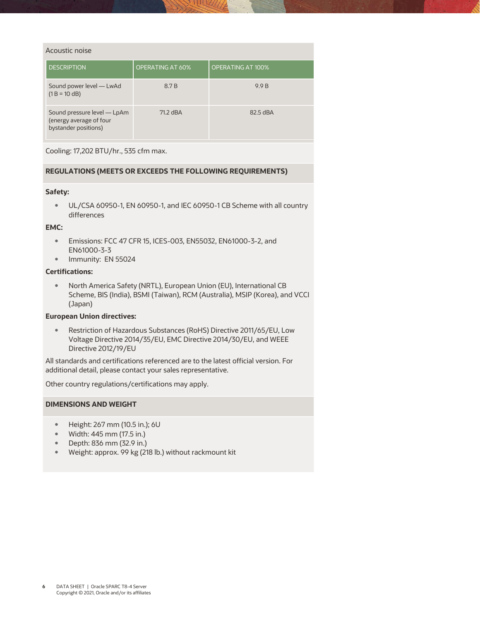| Acoustic noise                                                                 |                         |                          |
|--------------------------------------------------------------------------------|-------------------------|--------------------------|
| <b>DESCRIPTION</b>                                                             | <b>OPERATING AT 60%</b> | <b>OPERATING AT 100%</b> |
| Sound power level — LwAd<br>$(1 B = 10 dB)$                                    | 8.7 <sub>B</sub>        | 9.9 B                    |
| Sound pressure level — LpAm<br>(energy average of four<br>bystander positions) | 71.2 dBA                | 82.5 dBA                 |

Cooling: 17,202 BTU/hr., 535 cfm max.

# **REGULATIONS (MEETS OR EXCEEDS THE FOLLOWING REQUIREMENTS)**

# **Safety:**

UL/CSA 60950-1, EN 60950-1, and IEC 60950-1 CB Scheme with all country differences

## **EMC:**

- Emissions: FCC 47 CFR 15, ICES-003, EN55032, EN61000-3-2, and EN61000-3-3
- Immunity: EN 55024

## **Certifications:**

 North America Safety (NRTL), European Union (EU), International CB Scheme, BIS (India), BSMI (Taiwan), RCM (Australia), MSIP (Korea), and VCCI (Japan)

# **European Union directives:**

 Restriction of Hazardous Substances (RoHS) Directive 2011/65/EU, Low Voltage Directive 2014/35/EU, EMC Directive 2014/30/EU, and WEEE Directive 2012/19/EU

All standards and certifications referenced are to the latest official version. For additional detail, please contact your sales representative.

Other country regulations/certifications may apply.

# **DIMENSIONS AND WEIGHT**

- Height: 267 mm (10.5 in.); 6U
- Width: 445 mm (17.5 in.)
- Depth: 836 mm (32.9 in.)
- Weight: approx. 99 kg (218 lb.) without rackmount kit